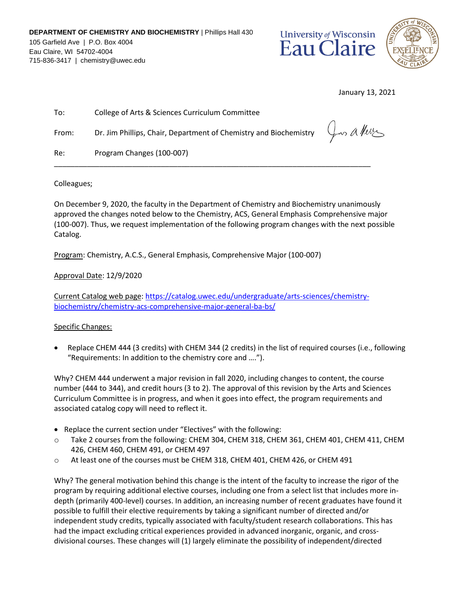



January 13, 2021

| To:   | College of Arts & Sciences Curriculum Committee                                                       |  |
|-------|-------------------------------------------------------------------------------------------------------|--|
| From: | Dr. Jim Phillips, Chair, Department of Chemistry and Biochemistry $\varphi \sim \mathcal{A}$ / $\psi$ |  |
| Re:   | Program Changes (100-007)                                                                             |  |

Colleagues;

On December 9, 2020, the faculty in the Department of Chemistry and Biochemistry unanimously approved the changes noted below to the Chemistry, ACS, General Emphasis Comprehensive major (100-007). Thus, we request implementation of the following program changes with the next possible Catalog.

Program: Chemistry, A.C.S., General Emphasis, Comprehensive Major (100-007)

Approval Date: 12/9/2020

Current Catalog web page: https://catalog.uwec.edu/undergraduate/arts-sciences/chemistrybiochemistry/chemistry-acs-comprehensive-major-general-ba-bs/

## Specific Changes:

• Replace CHEM 444 (3 credits) with CHEM 344 (2 credits) in the list of required courses (i.e., following "Requirements: In addition to the chemistry core and ….").

Why? CHEM 444 underwent a major revision in fall 2020, including changes to content, the course number (444 to 344), and credit hours (3 to 2). The approval of this revision by the Arts and Sciences Curriculum Committee is in progress, and when it goes into effect, the program requirements and associated catalog copy will need to reflect it.

- Replace the current section under "Electives" with the following:
- o Take 2 courses from the following: CHEM 304, CHEM 318, CHEM 361, CHEM 401, CHEM 411, CHEM 426, CHEM 460, CHEM 491, or CHEM 497
- o At least one of the courses must be CHEM 318, CHEM 401, CHEM 426, or CHEM 491

Why? The general motivation behind this change is the intent of the faculty to increase the rigor of the program by requiring additional elective courses, including one from a select list that includes more indepth (primarily 400-level) courses. In addition, an increasing number of recent graduates have found it possible to fulfill their elective requirements by taking a significant number of directed and/or independent study credits, typically associated with faculty/student research collaborations. This has had the impact excluding critical experiences provided in advanced inorganic, organic, and crossdivisional courses. These changes will (1) largely eliminate the possibility of independent/directed